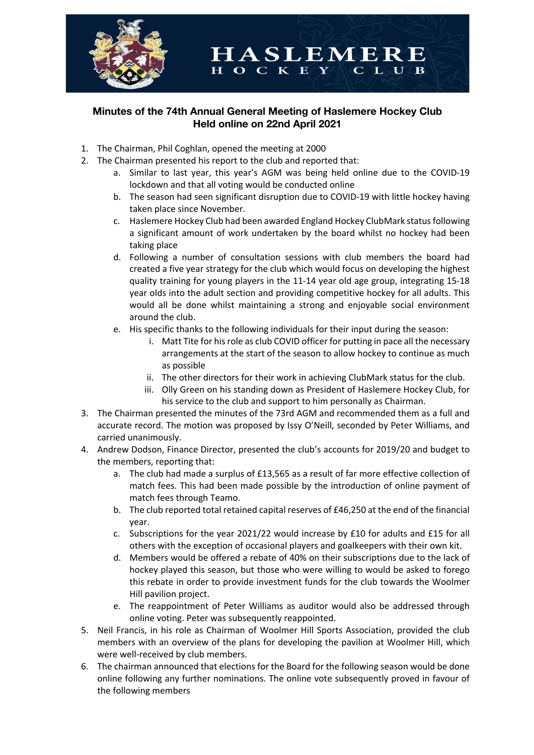

## **Minutes of the 74th Annual General Meeting of Haslemere Hockey Club Held online on 22nd April 2021**

HOCKE

- 1. The Chairman, Phil Coghlan, opened the meeting at 2000
- 2. The Chairman presented his report to the club and reported that:
	- a. Similar to last year, this year's AGM was being held online due to the COVID-19 lockdown and that all voting would be conducted online

**HASLEMERE** 

 $\mathbf{L}$ 

 $\mathbf{R}$ 

- b. The season had seen significant disruption due to COVID-19 with little hockey having taken place since November.
- c. Haslemere Hockey Club had been awarded England Hockey ClubMark status following a significant amount of work undertaken by the board whilst no hockey had been taking place
- d. Following a number of consultation sessions with club members the board had created a five year strategy for the club which would focus on developing the highest quality training for young players in the 11-14 year old age group, integrating 15-18 year olds into the adult section and providing competitive hockey for all adults. This would all be done whilst maintaining a strong and enjoyable social environment around the club.
- e. His specific thanks to the following individuals for their input during the season:
	- i. Matt Tite for his role as club COVID officer for putting in pace all the necessary arrangements at the start of the season to allow hockey to continue as much as possible
	- ii. The other directors for their work in achieving ClubMark status for the club.
	- iii. Olly Green on his standing down as President of Haslemere Hockey Club, for his service to the club and support to him personally as Chairman.
- 3. The Chairman presented the minutes of the 73rd AGM and recommended them as a full and accurate record. The motion was proposed by Issy O'Neill, seconded by Peter Williams, and carried unanimously.
- 4. Andrew Dodson, Finance Director, presented the club's accounts for 2019/20 and budget to the members, reporting that:
	- a. The club had made a surplus of £13,565 as a result of far more effective collection of match fees. This had been made possible by the introduction of online payment of match fees through Teamo.
	- b. The club reported total retained capital reserves of £46,250 at the end of the financial year.
	- c. Subscriptions for the year 2021/22 would increase by £10 for adults and £15 for all others with the exception of occasional players and goalkeepers with their own kit.
	- d. Members would be offered a rebate of 40% on their subscriptions due to the lack of hockey played this season, but those who were willing to would be asked to forego this rebate in order to provide investment funds for the club towards the Woolmer Hill pavilion project.
	- e. The reappointment of Peter Williams as auditor would also be addressed through online voting. Peter was subsequently reappointed.
- 5. Neil Francis, in his role as Chairman of Woolmer Hill Sports Association, provided the club members with an overview of the plans for developing the pavilion at Woolmer Hill, which were well-received by club members.
- 6. The chairman announced that elections for the Board for the following season would be done online following any further nominations. The online vote subsequently proved in favour of the following members